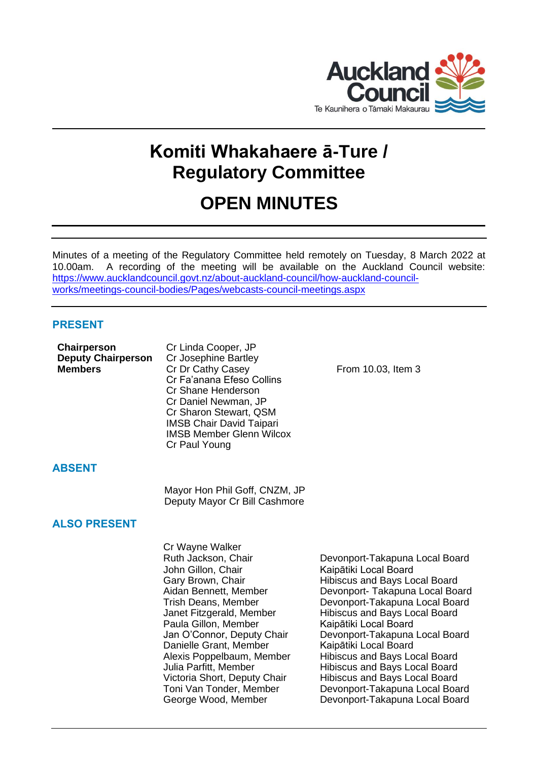

# **Komiti Whakahaere ā-Ture / Regulatory Committee**

# **OPEN MINUTES**

Minutes of a meeting of the Regulatory Committee held remotely on Tuesday, 8 March 2022 at 10.00am. A recording of the meeting will be available on the Auckland Council website: [https://www.aucklandcouncil.govt.nz/about-auckland-council/how-auckland-council](https://www.aucklandcouncil.govt.nz/about-auckland-council/how-auckland-council-works/meetings-council-bodies/Pages/webcasts-council-meetings.aspx)[works/meetings-council-bodies/Pages/webcasts-council-meetings.aspx](https://www.aucklandcouncil.govt.nz/about-auckland-council/how-auckland-council-works/meetings-council-bodies/Pages/webcasts-council-meetings.aspx)

# **PRESENT**

| Cr Linda Cooper, JP             |                    |
|---------------------------------|--------------------|
| Cr Josephine Bartley            |                    |
| Cr Dr Cathy Casey               | From 10.03, Item 3 |
| Cr Fa'anana Efeso Collins       |                    |
| Cr Shane Henderson              |                    |
| Cr Daniel Newman, JP            |                    |
| Cr Sharon Stewart, QSM          |                    |
| <b>IMSB Chair David Taipari</b> |                    |
| <b>IMSB Member Glenn Wilcox</b> |                    |
| Cr Paul Young                   |                    |
|                                 |                    |

# **ABSENT**

Mayor Hon Phil Goff, CNZM, JP Deputy Mayor Cr Bill Cashmore

# **ALSO PRESENT**

Cr Wayne Walker John Gillon, Chair **Kaipātiki Local Board** Paula Gillon, Member Kaipātiki Local Board Danielle Grant, Member Kaipātiki Local Board

Ruth Jackson, Chair **Devonport-Takapuna Local Board** Gary Brown, Chair **Hibiscus and Bays Local Board** Aidan Bennett, Member Devonport- Takapuna Local Board Trish Deans, Member Devonport-Takapuna Local Board Janet Fitzgerald, Member Hibiscus and Bays Local Board Jan O'Connor, Deputy Chair Devonport-Takapuna Local Board Alexis Poppelbaum, Member Hibiscus and Bays Local Board<br>
Julia Parfitt, Member Hibiscus and Bays Local Board Julia Parfitt, Member **Hibiscus and Bays Local Board**<br>Victoria Short, Deputy Chair Hibiscus and Bays Local Board Hibiscus and Bays Local Board Toni Van Tonder, Member Devonport-Takapuna Local Board George Wood, Member Devonport-Takapuna Local Board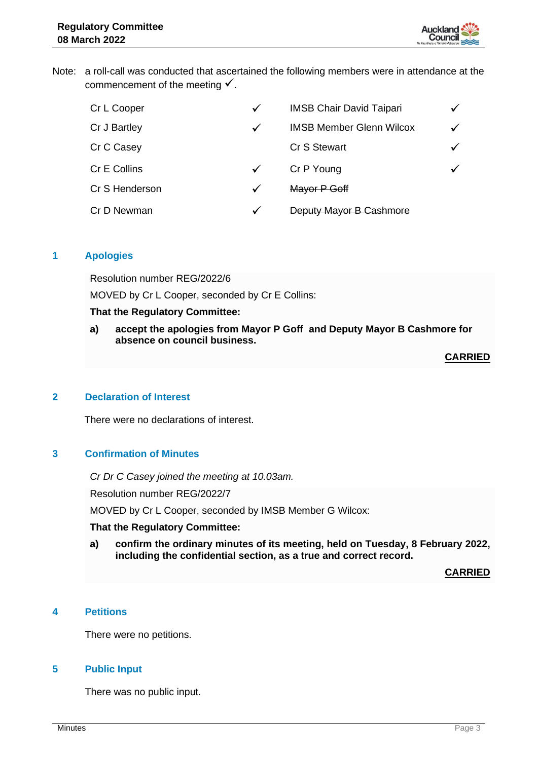

Note: a roll-call was conducted that ascertained the following members were in attendance at the commencement of the meeting  $\checkmark$ .

| Cr L Cooper    | $\checkmark$ | <b>IMSB Chair David Taipari</b> | $\checkmark$ |
|----------------|--------------|---------------------------------|--------------|
| Cr J Bartley   | $\checkmark$ | <b>IMSB Member Glenn Wilcox</b> | $\checkmark$ |
| Cr C Casey     |              | <b>Cr S Stewart</b>             | ✓            |
| Cr E Collins   | $\checkmark$ | Cr P Young                      |              |
| Cr S Henderson | $\checkmark$ | Mayor P Goff                    |              |
| Cr D Newman    | $\checkmark$ | Deputy Mayor B Cashmore         |              |

## **1 Apologies**

Resolution number REG/2022/6

MOVED by Cr L Cooper, seconded by Cr E Collins:

## **That the Regulatory Committee:**

**a) accept the apologies from Mayor P Goff and Deputy Mayor B Cashmore for absence on council business.**

**CARRIED**

### **2 Declaration of Interest**

There were no declarations of interest.

#### **3 Confirmation of Minutes**

*Cr Dr C Casey joined the meeting at 10.03am.* Resolution number REG/2022/7 MOVED by Cr L Cooper, seconded by IMSB Member G Wilcox:

#### **That the Regulatory Committee:**

**a) confirm the ordinary minutes of its meeting, held on Tuesday, 8 February 2022, including the confidential section, as a true and correct record.**

**CARRIED**

# **4 Petitions**

There were no petitions.

# **5 Public Input**

There was no public input.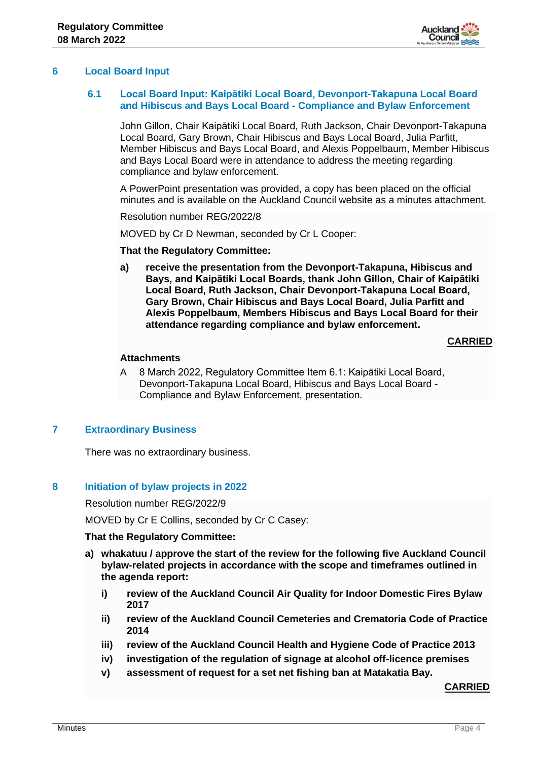

# **6 Local Board Input**

# **6.1 Local Board Input: Kaipātiki Local Board, Devonport-Takapuna Local Board and Hibiscus and Bays Local Board - Compliance and Bylaw Enforcement**

John Gillon, Chair Kaipātiki Local Board, Ruth Jackson, Chair Devonport-Takapuna Local Board, Gary Brown, Chair Hibiscus and Bays Local Board, Julia Parfitt, Member Hibiscus and Bays Local Board, and Alexis Poppelbaum, Member Hibiscus and Bays Local Board were in attendance to address the meeting regarding compliance and bylaw enforcement.

A PowerPoint presentation was provided, a copy has been placed on the official minutes and is available on the Auckland Council website as a minutes attachment.

Resolution number REG/2022/8

MOVED by Cr D Newman, seconded by Cr L Cooper:

#### **That the Regulatory Committee:**

**a) receive the presentation from the Devonport-Takapuna, Hibiscus and Bays, and Kaipātiki Local Boards, thank John Gillon, Chair of Kaipātiki Local Board, Ruth Jackson, Chair Devonport-Takapuna Local Board, Gary Brown, Chair Hibiscus and Bays Local Board, Julia Parfitt and Alexis Poppelbaum, Members Hibiscus and Bays Local Board for their attendance regarding compliance and bylaw enforcement.**

## **CARRIED**

#### **Attachments**

A 8 March 2022, Regulatory Committee Item 6.1: Kaipātiki Local Board, Devonport-Takapuna Local Board, Hibiscus and Bays Local Board - Compliance and Bylaw Enforcement, presentation.

# **7 Extraordinary Business**

There was no extraordinary business.

#### **8 Initiation of bylaw projects in 2022**

Resolution number REG/2022/9

MOVED by Cr E Collins, seconded by Cr C Casey:

#### **That the Regulatory Committee:**

- **a) whakatuu / approve the start of the review for the following five Auckland Council bylaw-related projects in accordance with the scope and timeframes outlined in the agenda report:**
	- **i) review of the Auckland Council Air Quality for Indoor Domestic Fires Bylaw 2017**
	- **ii) review of the Auckland Council Cemeteries and Crematoria Code of Practice 2014**
	- **iii) review of the Auckland Council Health and Hygiene Code of Practice 2013**
	- **iv) investigation of the regulation of signage at alcohol off-licence premises**
	- **v) assessment of request for a set net fishing ban at Matakatia Bay.**

# **CARRIED**